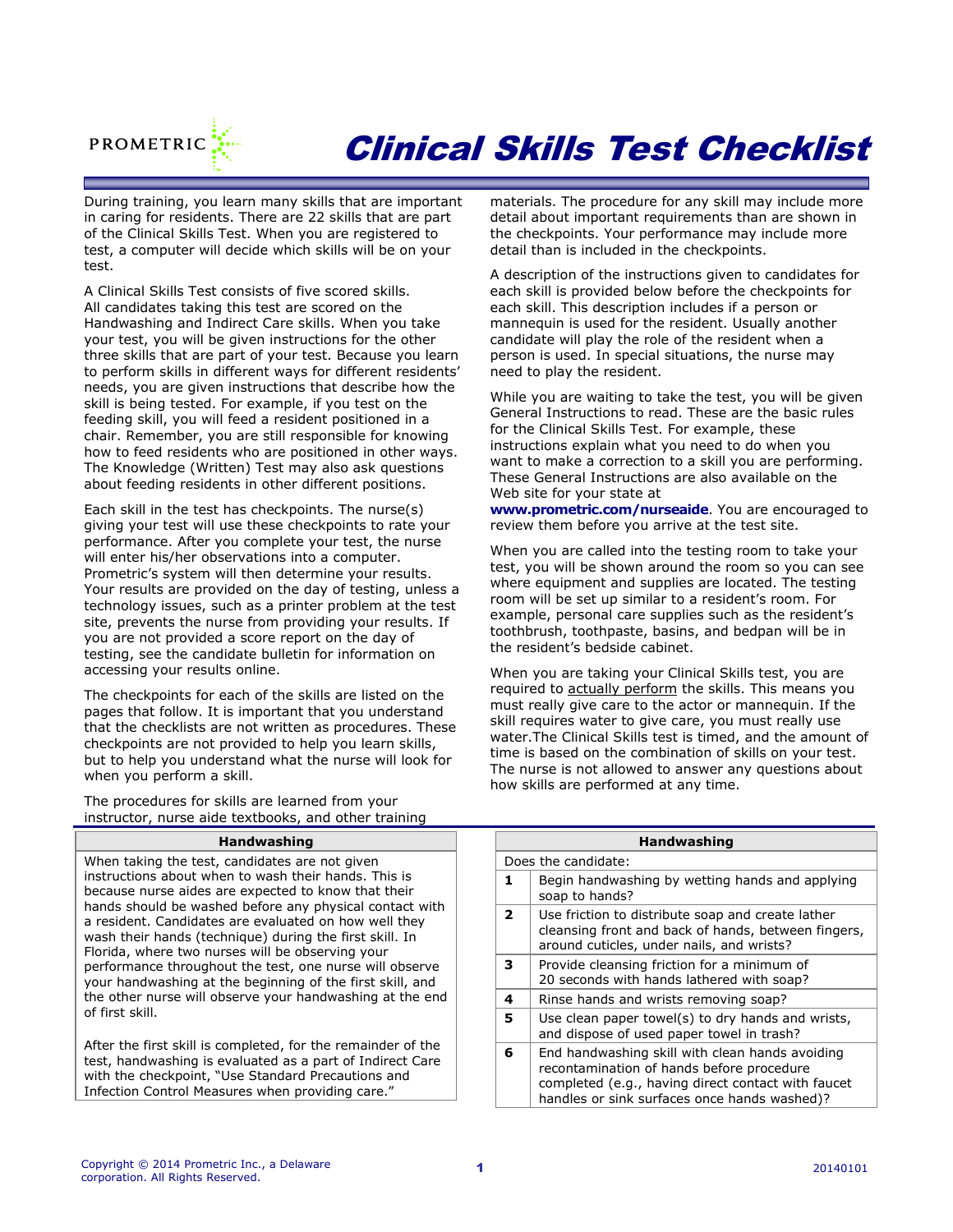

# Clinical Skills Test Checklist

During training, you learn many skills that are important in caring for residents. There are 22 skills that are part of the Clinical Skills Test. When you are registered to test, a computer will decide which skills will be on your test.

A Clinical Skills Test consists of five scored skills. All candidates taking this test are scored on the Handwashing and Indirect Care skills. When you take your test, you will be given instructions for the other three skills that are part of your test. Because you learn to perform skills in different ways for different residents' needs, you are given instructions that describe how the skill is being tested. For example, if you test on the feeding skill, you will feed a resident positioned in a chair. Remember, you are still responsible for knowing how to feed residents who are positioned in other ways. The Knowledge (Written) Test may also ask questions about feeding residents in other different positions.

Each skill in the test has checkpoints. The nurse(s) giving your test will use these checkpoints to rate your performance. After you complete your test, the nurse will enter his/her observations into a computer. Prometric's system will then determine your results. Your results are provided on the day of testing, unless a technology issues, such as a printer problem at the test site, prevents the nurse from providing your results. If you are not provided a score report on the day of testing, see the candidate bulletin for information on accessing your results online.

The checkpoints for each of the skills are listed on the pages that follow. It is important that you understand that the checklists are not written as procedures. These checkpoints are not provided to help you learn skills, but to help you understand what the nurse will look for when you perform a skill.

The procedures for skills are learned from your instructor, nurse aide textbooks, and other training

## **Handwashing**

When taking the test, candidates are not given instructions about when to wash their hands. This is because nurse aides are expected to know that their hands should be washed before any physical contact with a resident. Candidates are evaluated on how well they wash their hands (technique) during the first skill. In Florida, where two nurses will be observing your performance throughout the test, one nurse will observe your handwashing at the beginning of the first skill, and the other nurse will observe your handwashing at the end of first skill.

After the first skill is completed, for the remainder of the test, handwashing is evaluated as a part of Indirect Care with the checkpoint, "Use Standard Precautions and Infection Control Measures when providing care."

materials. The procedure for any skill may include more detail about important requirements than are shown in the checkpoints. Your performance may include more detail than is included in the checkpoints.

A description of the instructions given to candidates for each skill is provided below before the checkpoints for each skill. This description includes if a person or mannequin is used for the resident. Usually another candidate will play the role of the resident when a person is used. In special situations, the nurse may need to play the resident.

While you are waiting to take the test, you will be given General Instructions to read. These are the basic rules for the Clinical Skills Test. For example, these instructions explain what you need to do when you want to make a correction to a skill you are performing. These General Instructions are also available on the Web site for your state at

**[www.prometric.com/nurseaide](http://www.prometric.com/nurseaide)**. You are encouraged to review them before you arrive at the test site.

When you are called into the testing room to take your test, you will be shown around the room so you can see where equipment and supplies are located. The testing room will be set up similar to a resident's room. For example, personal care supplies such as the resident's toothbrush, toothpaste, basins, and bedpan will be in the resident's bedside cabinet.

When you are taking your Clinical Skills test, you are required to actually perform the skills. This means you must really give care to the actor or mannequin. If the skill requires water to give care, you must really use water.The Clinical Skills test is timed, and the amount of time is based on the combination of skills on your test. The nurse is not allowed to answer any questions about how skills are performed at any time.

|                          | <b>Handwashing</b>                                                                                                                                                                                 |  |  |
|--------------------------|----------------------------------------------------------------------------------------------------------------------------------------------------------------------------------------------------|--|--|
|                          | Does the candidate:                                                                                                                                                                                |  |  |
| 1.                       | Begin handwashing by wetting hands and applying<br>soap to hands?                                                                                                                                  |  |  |
| $\overline{\phantom{a}}$ | Use friction to distribute soap and create lather<br>cleansing front and back of hands, between fingers,<br>around cuticles, under nails, and wrists?                                              |  |  |
| 3                        | Provide cleansing friction for a minimum of<br>20 seconds with hands lathered with soap?                                                                                                           |  |  |
| 4                        | Rinse hands and wrists removing soap?                                                                                                                                                              |  |  |
| 5                        | Use clean paper towel(s) to dry hands and wrists,<br>and dispose of used paper towel in trash?                                                                                                     |  |  |
| 6                        | End handwashing skill with clean hands avoiding<br>recontamination of hands before procedure<br>completed (e.g., having direct contact with faucet<br>handles or sink surfaces once hands washed)? |  |  |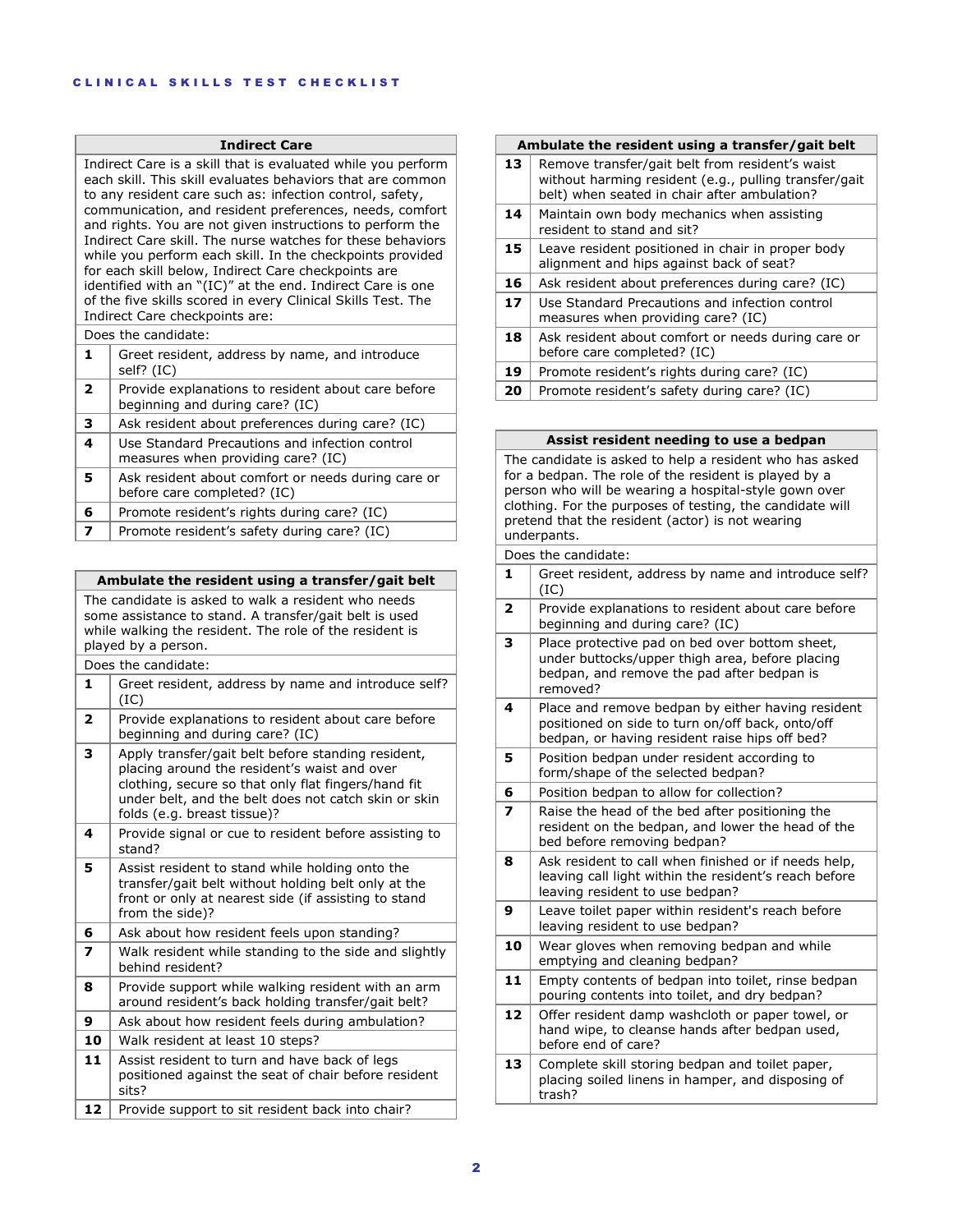## **Indirect Care**

Indirect Care is a skill that is evaluated while you perform each skill. This skill evaluates behaviors that are common to any resident care such as: infection control, safety, communication, and resident preferences, needs, comfort and rights. You are not given instructions to perform the Indirect Care skill. The nurse watches for these behaviors while you perform each skill. In the checkpoints provided for each skill below, Indirect Care checkpoints are identified with an "(IC)" at the end. Indirect Care is one of the five skills scored in every Clinical Skills Test. The Indirect Care checkpoints are:

|                | Does the candidate:                                                                   |  |
|----------------|---------------------------------------------------------------------------------------|--|
|                | Greet resident, address by name, and introduce<br>self? (IC)                          |  |
| $\overline{2}$ | Provide explanations to resident about care before<br>beginning and during care? (IC) |  |
| 3              | Ask resident about preferences during care? (IC)                                      |  |
| 4              | Use Standard Precautions and infection control<br>measures when providing care? (IC)  |  |
| 5              | Ask resident about comfort or needs during care or<br>before care completed? (IC)     |  |
| 6              | Promote resident's rights during care? (IC)                                           |  |
|                |                                                                                       |  |

**7** Promote resident's safety during care? (IC)

| Ambulate the resident using a transfer/gait belt |  |  |
|--------------------------------------------------|--|--|
|--------------------------------------------------|--|--|

The candidate is asked to walk a resident who needs some assistance to stand. A transfer/gait belt is used while walking the resident. The role of the resident is played by a person.

|                | Does the candidate:                                                                                                                                                                                                                              |
|----------------|--------------------------------------------------------------------------------------------------------------------------------------------------------------------------------------------------------------------------------------------------|
| 1              | Greet resident, address by name and introduce self?<br>(IC)                                                                                                                                                                                      |
| $\overline{2}$ | Provide explanations to resident about care before<br>beginning and during care? (IC)                                                                                                                                                            |
| 3              | Apply transfer/gait belt before standing resident,<br>placing around the resident's waist and over<br>clothing, secure so that only flat fingers/hand fit<br>under belt, and the belt does not catch skin or skin<br>folds (e.g. breast tissue)? |
| 4              | Provide signal or cue to resident before assisting to<br>stand?                                                                                                                                                                                  |
| 5              | Assist resident to stand while holding onto the<br>transfer/gait belt without holding belt only at the<br>front or only at nearest side (if assisting to stand<br>from the side)?                                                                |
| 6              | Ask about how resident feels upon standing?                                                                                                                                                                                                      |
| 7              | Walk resident while standing to the side and slightly<br>behind resident?                                                                                                                                                                        |
| 8              | Provide support while walking resident with an arm<br>around resident's back holding transfer/gait belt?                                                                                                                                         |
| 9              | Ask about how resident feels during ambulation?                                                                                                                                                                                                  |
| 10             | Walk resident at least 10 steps?                                                                                                                                                                                                                 |
| 11             | Assist resident to turn and have back of legs<br>positioned against the seat of chair before resident<br>sits?                                                                                                                                   |
| 12             | Provide support to sit resident back into chair?                                                                                                                                                                                                 |

## **Ambulate the resident using a transfer/gait belt**

| 13 <sup>1</sup> | Remove transfer/gait belt from resident's waist<br>without harming resident (e.g., pulling transfer/gait<br>belt) when seated in chair after ambulation? |
|-----------------|----------------------------------------------------------------------------------------------------------------------------------------------------------|
| 14              | Maintain own body mechanics when assisting<br>resident to stand and sit?                                                                                 |

| 15 | Leave resident positioned in chair in proper body<br>alignment and hips against back of seat? |
|----|-----------------------------------------------------------------------------------------------|
| 16 | Ask resident about preferences during care? (IC)                                              |
| 17 | Use Standard Precautions and infection control<br>measures when providing care? (IC)          |
| 18 | Ask resident about comfort or needs during care or<br>before care completed? (IC)             |
| 19 | Promote resident's rights during care? (IC)                                                   |

|  | 20   Promote resident's safety during care? (IC) |  |  |  |
|--|--------------------------------------------------|--|--|--|
|  |                                                  |  |  |  |

|                         | Assist resident needing to use a bedpan                                                                                                                                                                                                                                                                   |  |
|-------------------------|-----------------------------------------------------------------------------------------------------------------------------------------------------------------------------------------------------------------------------------------------------------------------------------------------------------|--|
|                         | The candidate is asked to help a resident who has asked<br>for a bedpan. The role of the resident is played by a<br>person who will be wearing a hospital-style gown over<br>clothing. For the purposes of testing, the candidate will<br>pretend that the resident (actor) is not wearing<br>underpants. |  |
|                         | Does the candidate:                                                                                                                                                                                                                                                                                       |  |
| 1                       | Greet resident, address by name and introduce self?<br>(IC)                                                                                                                                                                                                                                               |  |
| 2                       | Provide explanations to resident about care before<br>beginning and during care? (IC)                                                                                                                                                                                                                     |  |
| з                       | Place protective pad on bed over bottom sheet,<br>under buttocks/upper thigh area, before placing<br>bedpan, and remove the pad after bedpan is<br>removed?                                                                                                                                               |  |
| 4                       | Place and remove bedpan by either having resident<br>positioned on side to turn on/off back, onto/off<br>bedpan, or having resident raise hips off bed?                                                                                                                                                   |  |
| 5                       | Position bedpan under resident according to<br>form/shape of the selected bedpan?                                                                                                                                                                                                                         |  |
| 6                       | Position bedpan to allow for collection?                                                                                                                                                                                                                                                                  |  |
| $\overline{\mathbf{z}}$ | Raise the head of the bed after positioning the<br>resident on the bedpan, and lower the head of the<br>bed before removing bedpan?                                                                                                                                                                       |  |
| 8                       | Ask resident to call when finished or if needs help,<br>leaving call light within the resident's reach before<br>leaving resident to use bedpan?                                                                                                                                                          |  |
| 9                       | Leave toilet paper within resident's reach before<br>leaving resident to use bedpan?                                                                                                                                                                                                                      |  |
| 10                      | Wear gloves when removing bedpan and while<br>emptying and cleaning bedpan?                                                                                                                                                                                                                               |  |
| 11                      | Empty contents of bedpan into toilet, rinse bedpan<br>pouring contents into toilet, and dry bedpan?                                                                                                                                                                                                       |  |
| 12                      | Offer resident damp washcloth or paper towel, or<br>hand wipe, to cleanse hands after bedpan used,<br>before end of care?                                                                                                                                                                                 |  |
| 13                      | Complete skill storing bedpan and toilet paper,<br>placing soiled linens in hamper, and disposing of<br>trash?                                                                                                                                                                                            |  |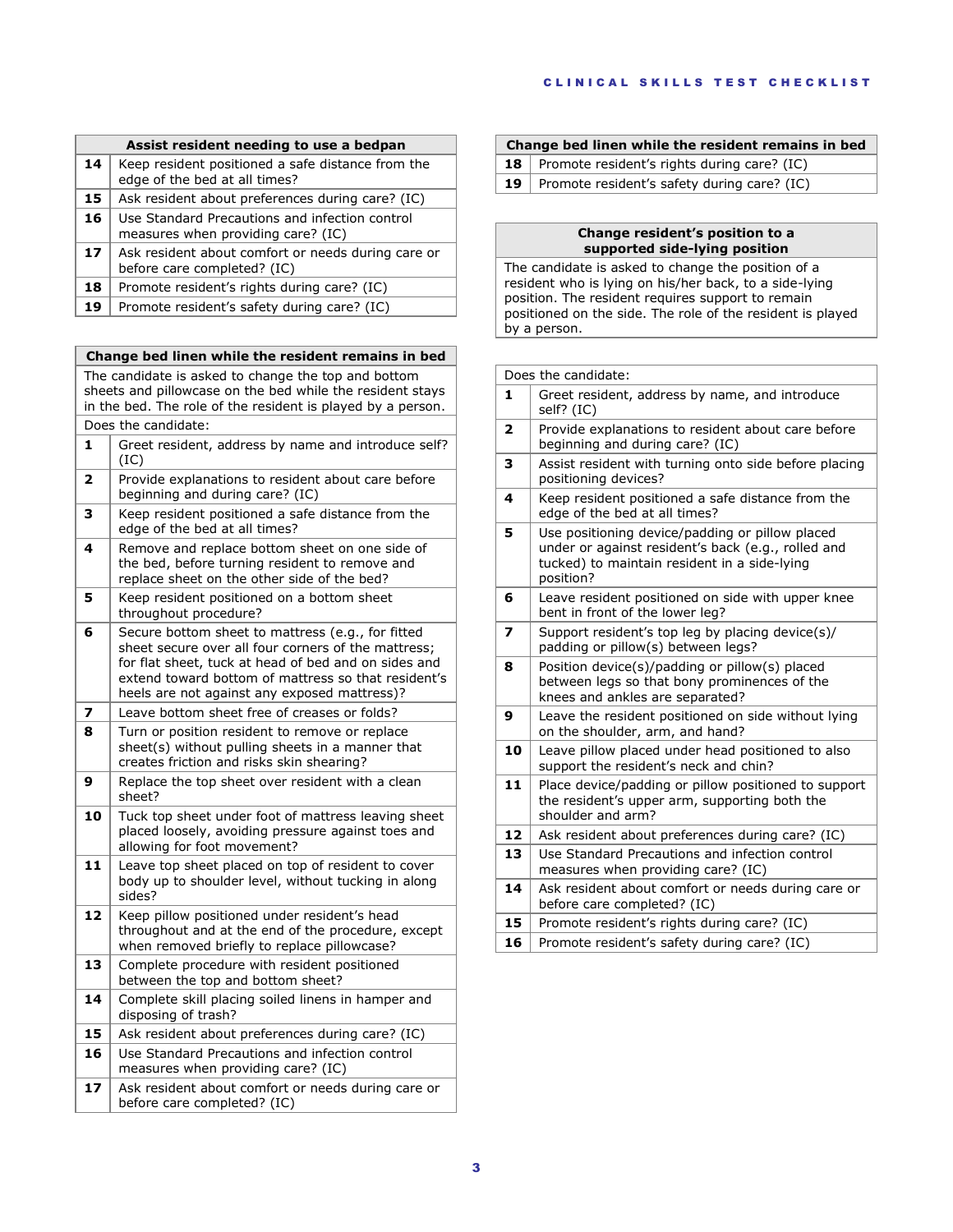|    | Assist resident needing to use a bedpan                                              |  |
|----|--------------------------------------------------------------------------------------|--|
| 14 | Keep resident positioned a safe distance from the<br>edge of the bed at all times?   |  |
| 15 | Ask resident about preferences during care? (IC)                                     |  |
| 16 | Use Standard Precautions and infection control<br>measures when providing care? (IC) |  |
| 17 | Ask resident about comfort or needs during care or<br>before care completed? (IC)    |  |
| 18 | Promote resident's rights during care? (IC)                                          |  |
| 19 | Promote resident's safety during care? (IC)                                          |  |

## **Change bed linen while the resident remains in bed**

The candidate is asked to change the top and bottom sheets and pillowcase on the bed while the resident stays in the bed. The role of the resident is played by a person. Does the candidate:

|    | PUCS THE CANDIQUE.                                                                                                                                                                                                                                                      |
|----|-------------------------------------------------------------------------------------------------------------------------------------------------------------------------------------------------------------------------------------------------------------------------|
| 1  | Greet resident, address by name and introduce self?<br>(IC)                                                                                                                                                                                                             |
| 2  | Provide explanations to resident about care before<br>beginning and during care? (IC)                                                                                                                                                                                   |
| з  | Keep resident positioned a safe distance from the<br>edge of the bed at all times?                                                                                                                                                                                      |
| 4  | Remove and replace bottom sheet on one side of<br>the bed, before turning resident to remove and<br>replace sheet on the other side of the bed?                                                                                                                         |
| 5  | Keep resident positioned on a bottom sheet<br>throughout procedure?                                                                                                                                                                                                     |
| 6  | Secure bottom sheet to mattress (e.g., for fitted<br>sheet secure over all four corners of the mattress;<br>for flat sheet, tuck at head of bed and on sides and<br>extend toward bottom of mattress so that resident's<br>heels are not against any exposed mattress)? |
| 7  | Leave bottom sheet free of creases or folds?                                                                                                                                                                                                                            |
| 8  | Turn or position resident to remove or replace<br>sheet(s) without pulling sheets in a manner that<br>creates friction and risks skin shearing?                                                                                                                         |
| 9  | Replace the top sheet over resident with a clean<br>sheet?                                                                                                                                                                                                              |
| 10 | Tuck top sheet under foot of mattress leaving sheet<br>placed loosely, avoiding pressure against toes and<br>allowing for foot movement?                                                                                                                                |
| 11 | Leave top sheet placed on top of resident to cover<br>body up to shoulder level, without tucking in along<br>sides?                                                                                                                                                     |
| 12 | Keep pillow positioned under resident's head<br>throughout and at the end of the procedure, except<br>when removed briefly to replace pillowcase?                                                                                                                       |
| 13 | Complete procedure with resident positioned<br>between the top and bottom sheet?                                                                                                                                                                                        |
| 14 | Complete skill placing soiled linens in hamper and<br>disposing of trash?                                                                                                                                                                                               |
| 15 | Ask resident about preferences during care? (IC)                                                                                                                                                                                                                        |
| 16 | Use Standard Precautions and infection control<br>measures when providing care? (IC)                                                                                                                                                                                    |
|    |                                                                                                                                                                                                                                                                         |
| 17 | Ask resident about comfort or needs during care or<br>before care completed? (IC)                                                                                                                                                                                       |

## **Change bed linen while the resident remains in bed**

- **18** Promote resident's rights during care? (IC)
- **19** Promote resident's safety during care? (IC)

## **Change resident's position to a supported side-lying position**

The candidate is asked to change the position of a resident who is lying on his/her back, to a side-lying position. The resident requires support to remain positioned on the side. The role of the resident is played by a person.

|                         | Does the candidate:                                                                                                                                                |  |
|-------------------------|--------------------------------------------------------------------------------------------------------------------------------------------------------------------|--|
| 1                       | Greet resident, address by name, and introduce<br>self? (IC)                                                                                                       |  |
| $\overline{\mathbf{2}}$ | Provide explanations to resident about care before<br>beginning and during care? (IC)                                                                              |  |
| з                       | Assist resident with turning onto side before placing<br>positioning devices?                                                                                      |  |
| 4                       | Keep resident positioned a safe distance from the<br>edge of the bed at all times?                                                                                 |  |
| 5                       | Use positioning device/padding or pillow placed<br>under or against resident's back (e.g., rolled and<br>tucked) to maintain resident in a side-lying<br>position? |  |
| 6                       | Leave resident positioned on side with upper knee<br>bent in front of the lower leg?                                                                               |  |
| $\overline{\mathbf{z}}$ | Support resident's top leg by placing device(s)/<br>padding or pillow(s) between legs?                                                                             |  |
| 8                       | Position device(s)/padding or pillow(s) placed<br>between legs so that bony prominences of the<br>knees and ankles are separated?                                  |  |
| 9                       | Leave the resident positioned on side without lying<br>on the shoulder, arm, and hand?                                                                             |  |
| 10                      | Leave pillow placed under head positioned to also<br>support the resident's neck and chin?                                                                         |  |
| 11                      | Place device/padding or pillow positioned to support<br>the resident's upper arm, supporting both the<br>shoulder and arm?                                         |  |
| 12                      | Ask resident about preferences during care? (IC)                                                                                                                   |  |
| 13                      | Use Standard Precautions and infection control<br>measures when providing care? (IC)                                                                               |  |
| 14                      | Ask resident about comfort or needs during care or<br>before care completed? (IC)                                                                                  |  |
| 15                      | Promote resident's rights during care? (IC)                                                                                                                        |  |
| 16                      | Promote resident's safety during care? (IC)                                                                                                                        |  |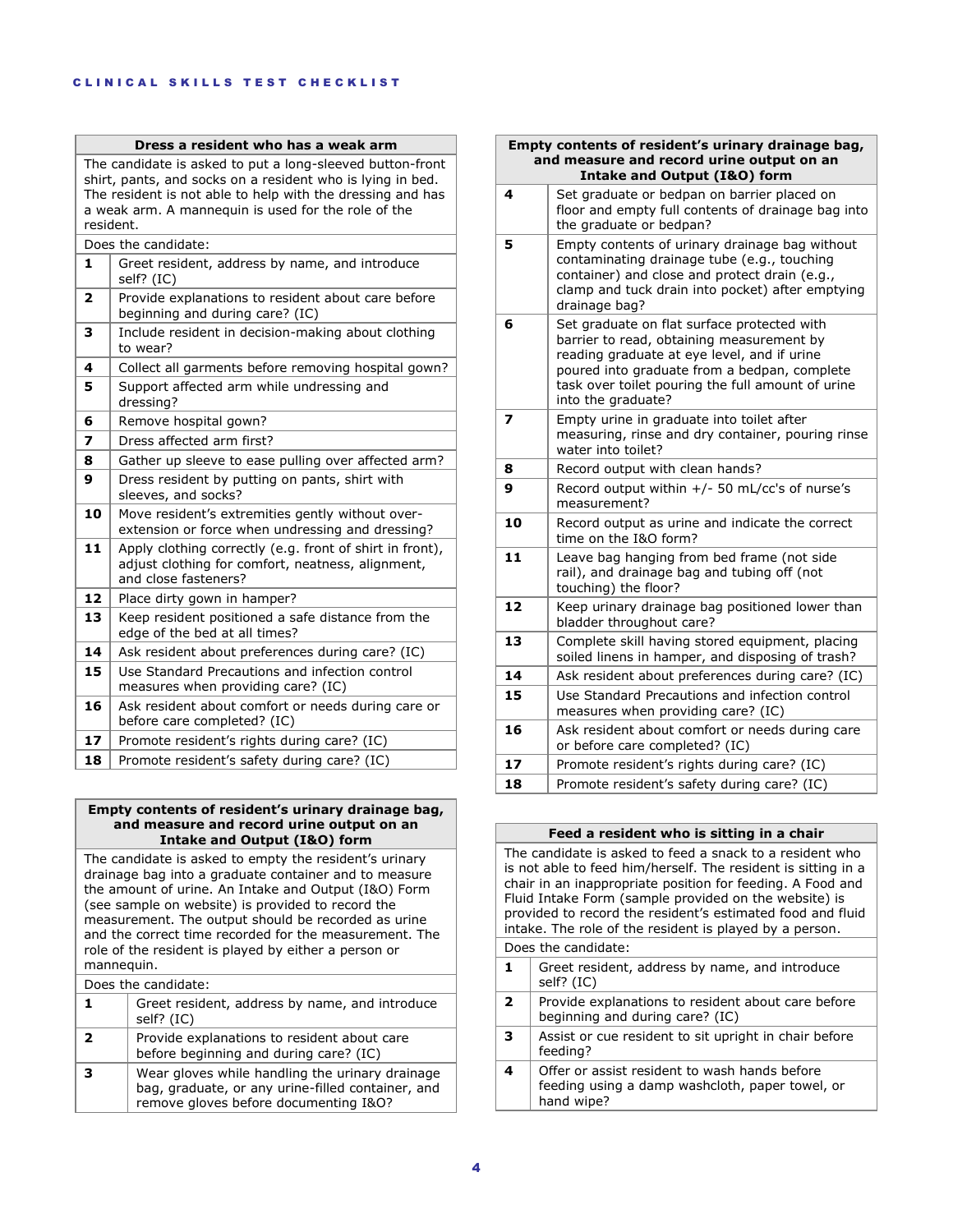|                         | Dress a resident who has a weak arm                                                                                                                                                                                                                       |
|-------------------------|-----------------------------------------------------------------------------------------------------------------------------------------------------------------------------------------------------------------------------------------------------------|
|                         | The candidate is asked to put a long-sleeved button-front<br>shirt, pants, and socks on a resident who is lying in bed.<br>The resident is not able to help with the dressing and has<br>a weak arm. A mannequin is used for the role of the<br>resident. |
|                         | Does the candidate:                                                                                                                                                                                                                                       |
| 1                       | Greet resident, address by name, and introduce<br>self? (IC)                                                                                                                                                                                              |
| $\overline{\mathbf{z}}$ | Provide explanations to resident about care before<br>beginning and during care? (IC)                                                                                                                                                                     |
| 3                       | Include resident in decision-making about clothing<br>to wear?                                                                                                                                                                                            |
| 4                       | Collect all garments before removing hospital gown?                                                                                                                                                                                                       |
| 5                       | Support affected arm while undressing and<br>dressing?                                                                                                                                                                                                    |
| 6                       | Remove hospital gown?                                                                                                                                                                                                                                     |
| $\overline{\mathbf{z}}$ | Dress affected arm first?                                                                                                                                                                                                                                 |
| 8                       | Gather up sleeve to ease pulling over affected arm?                                                                                                                                                                                                       |
| 9                       | Dress resident by putting on pants, shirt with<br>sleeves, and socks?                                                                                                                                                                                     |
| 10                      | Move resident's extremities gently without over-<br>extension or force when undressing and dressing?                                                                                                                                                      |
| 11                      | Apply clothing correctly (e.g. front of shirt in front),<br>adjust clothing for comfort, neatness, alignment,<br>and close fasteners?                                                                                                                     |
| 12                      | Place dirty gown in hamper?                                                                                                                                                                                                                               |
| 13                      | Keep resident positioned a safe distance from the<br>edge of the bed at all times?                                                                                                                                                                        |
| 14                      | Ask resident about preferences during care? (IC)                                                                                                                                                                                                          |
| 15                      | Use Standard Precautions and infection control<br>measures when providing care? (IC)                                                                                                                                                                      |
| 16                      | Ask resident about comfort or needs during care or<br>before care completed? (IC)                                                                                                                                                                         |
| 17                      | Promote resident's rights during care? (IC)                                                                                                                                                                                                               |
| 18                      | Promote resident's safety during care? (IC)                                                                                                                                                                                                               |

## **Empty contents of resident's urinary drainage bag, and measure and record urine output on an Intake and Output (I&O) form**

The candidate is asked to empty the resident's urinary drainage bag into a graduate container and to measure the amount of urine. An Intake and Output (I&O) Form (see sample on website) is provided to record the measurement. The output should be recorded as urine and the correct time recorded for the measurement. The role of the resident is played by either a person or mannequin.

Does the candidate:

| 1. | Greet resident, address by name, and introduce<br>self? (IC)                                                                                  |  |
|----|-----------------------------------------------------------------------------------------------------------------------------------------------|--|
| 2  | Provide explanations to resident about care<br>before beginning and during care? (IC)                                                         |  |
| з  | Wear gloves while handling the urinary drainage<br>bag, graduate, or any urine-filled container, and<br>remove gloves before documenting I&O? |  |

#### **Empty contents of resident's urinary drainage bag, and measure and record urine output on an Intake and Output (I&O) form**

|                         | Intake and Output (IQO) form                                                                                                                                                                                                                                       |
|-------------------------|--------------------------------------------------------------------------------------------------------------------------------------------------------------------------------------------------------------------------------------------------------------------|
| 4                       | Set graduate or bedpan on barrier placed on<br>floor and empty full contents of drainage bag into<br>the graduate or bedpan?                                                                                                                                       |
| 5                       | Empty contents of urinary drainage bag without<br>contaminating drainage tube (e.g., touching<br>container) and close and protect drain (e.g.,<br>clamp and tuck drain into pocket) after emptying<br>drainage bag?                                                |
| 6                       | Set graduate on flat surface protected with<br>barrier to read, obtaining measurement by<br>reading graduate at eye level, and if urine<br>poured into graduate from a bedpan, complete<br>task over toilet pouring the full amount of urine<br>into the graduate? |
| $\overline{\mathbf{z}}$ | Empty urine in graduate into toilet after<br>measuring, rinse and dry container, pouring rinse<br>water into toilet?                                                                                                                                               |
| 8                       | Record output with clean hands?                                                                                                                                                                                                                                    |
| 9                       | Record output within +/- 50 mL/cc's of nurse's<br>measurement?                                                                                                                                                                                                     |
| 10                      | Record output as urine and indicate the correct<br>time on the I&O form?                                                                                                                                                                                           |
| 11                      | Leave bag hanging from bed frame (not side<br>rail), and drainage bag and tubing off (not<br>touching) the floor?                                                                                                                                                  |
| 12                      | Keep urinary drainage bag positioned lower than<br>bladder throughout care?                                                                                                                                                                                        |
| 13                      | Complete skill having stored equipment, placing<br>soiled linens in hamper, and disposing of trash?                                                                                                                                                                |
| 14                      | Ask resident about preferences during care? (IC)                                                                                                                                                                                                                   |
| 15                      | Use Standard Precautions and infection control<br>measures when providing care? (IC)                                                                                                                                                                               |
| 16                      | Ask resident about comfort or needs during care<br>or before care completed? (IC)                                                                                                                                                                                  |
| 17                      | Promote resident's rights during care? (IC)                                                                                                                                                                                                                        |
| 18                      | Promote resident's safety during care? (IC)                                                                                                                                                                                                                        |

# **Feed a resident who is sitting in a chair**

The candidate is asked to feed a snack to a resident who is not able to feed him/herself. The resident is sitting in a chair in an inappropriate position for feeding. A Food and Fluid Intake Form (sample provided on the website) is provided to record the resident's estimated food and fluid intake. The role of the resident is played by a person. Does the candidate: **1** Greet resident, address by name, and introduce self? (IC) **2** Provide explanations to resident about care before beginning and during care? (IC) **3** Assist or cue resident to sit upright in chair before feeding?

**4** Offer or assist resident to wash hands before feeding using a damp washcloth, paper towel, or hand wipe?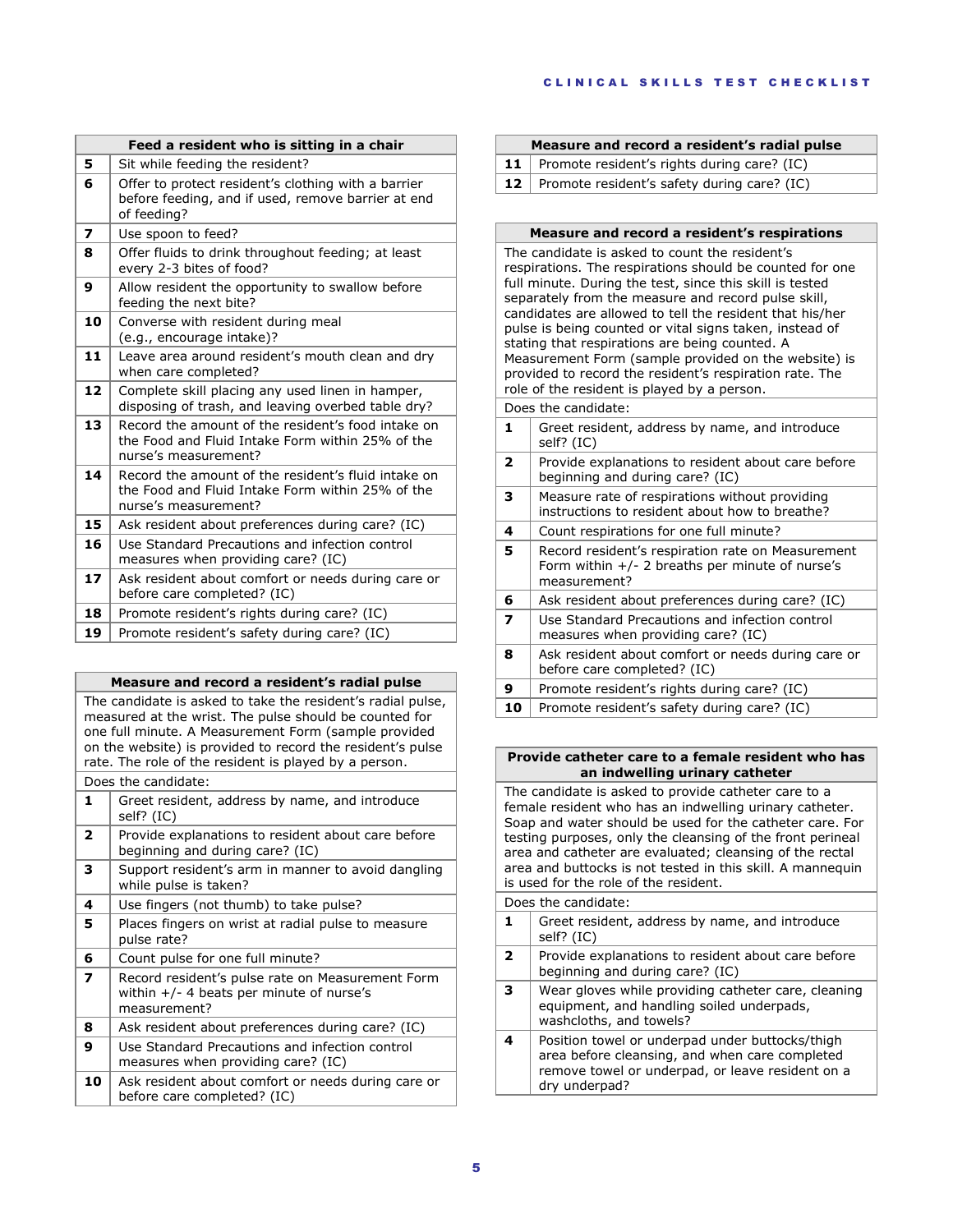|    | Feed a resident who is sitting in a chair                                                                                       |  |  |
|----|---------------------------------------------------------------------------------------------------------------------------------|--|--|
| 5  | Sit while feeding the resident?                                                                                                 |  |  |
| 6  | Offer to protect resident's clothing with a barrier<br>before feeding, and if used, remove barrier at end<br>of feeding?        |  |  |
| 7  | Use spoon to feed?                                                                                                              |  |  |
| 8  | Offer fluids to drink throughout feeding; at least<br>every 2-3 bites of food?                                                  |  |  |
| 9  | Allow resident the opportunity to swallow before<br>feeding the next bite?                                                      |  |  |
| 10 | Converse with resident during meal<br>(e.g., encourage intake)?                                                                 |  |  |
| 11 | Leave area around resident's mouth clean and dry<br>when care completed?                                                        |  |  |
| 12 | Complete skill placing any used linen in hamper,<br>disposing of trash, and leaving overbed table dry?                          |  |  |
| 13 | Record the amount of the resident's food intake on<br>the Food and Fluid Intake Form within 25% of the<br>nurse's measurement?  |  |  |
| 14 | Record the amount of the resident's fluid intake on<br>the Food and Fluid Intake Form within 25% of the<br>nurse's measurement? |  |  |
| 15 | Ask resident about preferences during care? (IC)                                                                                |  |  |
| 16 | Use Standard Precautions and infection control<br>measures when providing care? (IC)                                            |  |  |
| 17 | Ask resident about comfort or needs during care or<br>before care completed? (IC)                                               |  |  |
| 18 | Promote resident's rights during care? (IC)                                                                                     |  |  |
| 19 | Promote resident's safety during care? (IC)                                                                                     |  |  |

| Measure and record a resident's radial pulse |  |  |  |  |  |
|----------------------------------------------|--|--|--|--|--|
|----------------------------------------------|--|--|--|--|--|

The candidate is asked to take the resident's radial pulse, measured at the wrist. The pulse should be counted for one full minute. A Measurement Form (sample provided on the website) is provided to record the resident's pulse rate. The role of the resident is played by a person.

| Does the candidate:                                                                                            |  |  |
|----------------------------------------------------------------------------------------------------------------|--|--|
| Greet resident, address by name, and introduce<br>self? (IC)                                                   |  |  |
| Provide explanations to resident about care before<br>beginning and during care? (IC)                          |  |  |
| Support resident's arm in manner to avoid dangling<br>while pulse is taken?                                    |  |  |
| Use fingers (not thumb) to take pulse?                                                                         |  |  |
| Places fingers on wrist at radial pulse to measure<br>pulse rate?                                              |  |  |
| Count pulse for one full minute?                                                                               |  |  |
| Record resident's pulse rate on Measurement Form<br>within $+/-$ 4 beats per minute of nurse's<br>measurement? |  |  |
| Ask resident about preferences during care? (IC)                                                               |  |  |
| Use Standard Precautions and infection control<br>measures when providing care? (IC)                           |  |  |
| Ask resident about comfort or needs during care or<br>before care completed? (IC)                              |  |  |
|                                                                                                                |  |  |

| Measure and record a resident's radial pulse          |  |  |
|-------------------------------------------------------|--|--|
| <b>11</b> Promote resident's rights during care? (IC) |  |  |
| <b>12</b> Promote resident's safety during care? (IC) |  |  |

#### **Measure and record a resident's respirations**

The candidate is asked to count the resident's respirations. The respirations should be counted for one full minute. During the test, since this skill is tested separately from the measure and record pulse skill, candidates are allowed to tell the resident that his/her pulse is being counted or vital signs taken, instead of stating that respirations are being counted. A Measurement Form (sample provided on the website) is provided to record the resident's respiration rate. The role of the resident is played by a person.

| Does the candidate: |                                                                                                                        |  |
|---------------------|------------------------------------------------------------------------------------------------------------------------|--|
| 1.                  | Greet resident, address by name, and introduce<br>self? (IC)                                                           |  |
| 2                   | Provide explanations to resident about care before<br>beginning and during care? (IC)                                  |  |
| 3                   | Measure rate of respirations without providing<br>instructions to resident about how to breathe?                       |  |
| 4                   | Count respirations for one full minute?                                                                                |  |
| 5                   | Record resident's respiration rate on Measurement<br>Form within $+/- 2$ breaths per minute of nurse's<br>measurement? |  |
| 6                   | Ask resident about preferences during care? (IC)                                                                       |  |
| 7                   | Use Standard Precautions and infection control<br>measures when providing care? (IC)                                   |  |
| 8                   | Ask resident about comfort or needs during care or<br>before care completed? (IC)                                      |  |
| 9                   | Promote resident's rights during care? (IC)                                                                            |  |
| 10                  | Promote resident's safety during care? (IC)                                                                            |  |
|                     |                                                                                                                        |  |

#### **Provide catheter care to a female resident who has an indwelling urinary catheter**

The candidate is asked to provide catheter care to a female resident who has an indwelling urinary catheter. Soap and water should be used for the catheter care. For testing purposes, only the cleansing of the front perineal area and catheter are evaluated; cleansing of the rectal area and buttocks is not tested in this skill. A mannequin is used for the role of the resident. Does the candidate: **1** Greet resident, address by name, and introduce self? (IC) **2** Provide explanations to resident about care before beginning and during care? (IC) **3** Wear gloves while providing catheter care, cleaning equipment, and handling soiled underpads, washcloths, and towels? **4** Position towel or underpad under buttocks/thigh area before cleansing, and when care completed remove towel or underpad, or leave resident on a

dry underpad?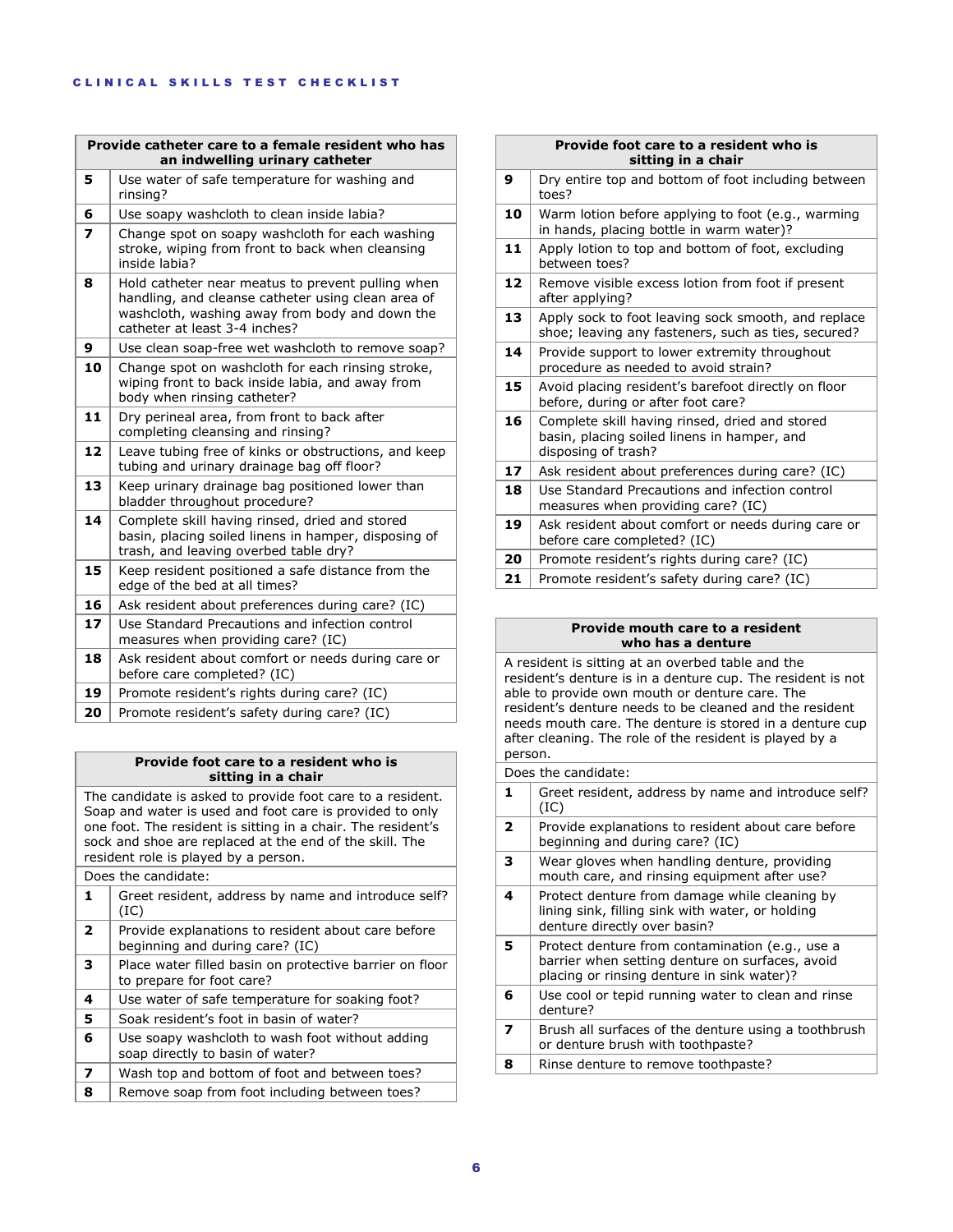| Provide catheter care to a female resident who has<br>an indwelling urinary catheter |                                                                                                                                                                                            |  |
|--------------------------------------------------------------------------------------|--------------------------------------------------------------------------------------------------------------------------------------------------------------------------------------------|--|
| 5                                                                                    | Use water of safe temperature for washing and<br>rinsing?                                                                                                                                  |  |
| 6                                                                                    | Use soapy washcloth to clean inside labia?                                                                                                                                                 |  |
| $\overline{\phantom{a}}$                                                             | Change spot on soapy washcloth for each washing<br>stroke, wiping from front to back when cleansing<br>inside labia?                                                                       |  |
| 8                                                                                    | Hold catheter near meatus to prevent pulling when<br>handling, and cleanse catheter using clean area of<br>washcloth, washing away from body and down the<br>catheter at least 3-4 inches? |  |
| 9                                                                                    | Use clean soap-free wet washcloth to remove soap?                                                                                                                                          |  |
| 10                                                                                   | Change spot on washcloth for each rinsing stroke,<br>wiping front to back inside labia, and away from<br>body when rinsing catheter?                                                       |  |
| 11                                                                                   | Dry perineal area, from front to back after<br>completing cleansing and rinsing?                                                                                                           |  |
| 12                                                                                   | Leave tubing free of kinks or obstructions, and keep<br>tubing and urinary drainage bag off floor?                                                                                         |  |
| 13                                                                                   | Keep urinary drainage bag positioned lower than<br>bladder throughout procedure?                                                                                                           |  |
| 14                                                                                   | Complete skill having rinsed, dried and stored<br>basin, placing soiled linens in hamper, disposing of<br>trash, and leaving overbed table dry?                                            |  |
| 15                                                                                   | Keep resident positioned a safe distance from the<br>edge of the bed at all times?                                                                                                         |  |
| 16                                                                                   | Ask resident about preferences during care? (IC)                                                                                                                                           |  |
| 17                                                                                   | Use Standard Precautions and infection control<br>measures when providing care? (IC)                                                                                                       |  |
| 18                                                                                   | Ask resident about comfort or needs during care or<br>before care completed? (IC)                                                                                                          |  |
| 19                                                                                   | Promote resident's rights during care? (IC)                                                                                                                                                |  |
| 20                                                                                   | Promote resident's safety during care? (IC)                                                                                                                                                |  |

## **Provide foot care to a resident who is sitting in a chair**

The candidate is asked to provide foot care to a resident. Soap and water is used and foot care is provided to only one foot. The resident is sitting in a chair. The resident's sock and shoe are replaced at the end of the skill. The resident role is played by a person.

Does the candidate:

| 1            | Greet resident, address by name and introduce self?<br>(IC)                           |
|--------------|---------------------------------------------------------------------------------------|
| $\mathbf{2}$ | Provide explanations to resident about care before<br>beginning and during care? (IC) |
| 3            | Place water filled basin on protective barrier on floor<br>to prepare for foot care?  |
| 4            | Use water of safe temperature for soaking foot?                                       |
| 5            | Soak resident's foot in basin of water?                                               |
| 6            | Use soapy washcloth to wash foot without adding<br>soap directly to basin of water?   |
| 7            | Wash top and bottom of foot and between toes?                                         |
| 8            | Remove soap from foot including between toes?                                         |

|    | Provide foot care to a resident who is<br>sitting in a chair                                                         |
|----|----------------------------------------------------------------------------------------------------------------------|
| 9  | Dry entire top and bottom of foot including between<br>toes?                                                         |
| 10 | Warm lotion before applying to foot (e.g., warming<br>in hands, placing bottle in warm water)?                       |
| 11 | Apply lotion to top and bottom of foot, excluding<br>between toes?                                                   |
| 12 | Remove visible excess lotion from foot if present<br>after applying?                                                 |
| 13 | Apply sock to foot leaving sock smooth, and replace<br>shoe; leaving any fasteners, such as ties, secured?           |
| 14 | Provide support to lower extremity throughout<br>procedure as needed to avoid strain?                                |
| 15 | Avoid placing resident's barefoot directly on floor<br>before, during or after foot care?                            |
| 16 | Complete skill having rinsed, dried and stored<br>basin, placing soiled linens in hamper, and<br>disposing of trash? |
| 17 | Ask resident about preferences during care? (IC)                                                                     |
| 18 | Use Standard Precautions and infection control<br>measures when providing care? (IC)                                 |
| 19 | Ask resident about comfort or needs during care or<br>before care completed? (IC)                                    |
| 20 | Promote resident's rights during care? (IC)                                                                          |
| 21 | Promote resident's safety during care? (IC)                                                                          |

#### **Provide mouth care to a resident who has a denture**

A resident is sitting at an overbed table and the resident's denture is in a denture cup. The resident is not able to provide own mouth or denture care. The resident's denture needs to be cleaned and the resident needs mouth care. The denture is stored in a denture cup after cleaning. The role of the resident is played by a person.

Does the candidate:

| 1.                       | Greet resident, address by name and introduce self?<br>(IC)                                                                                      |
|--------------------------|--------------------------------------------------------------------------------------------------------------------------------------------------|
| $\overline{\phantom{a}}$ | Provide explanations to resident about care before<br>beginning and during care? (IC)                                                            |
| 3                        | Wear gloves when handling denture, providing<br>mouth care, and rinsing equipment after use?                                                     |
| 4                        | Protect denture from damage while cleaning by<br>lining sink, filling sink with water, or holding<br>denture directly over basin?                |
| 5                        | Protect denture from contamination (e.g., use a<br>barrier when setting denture on surfaces, avoid<br>placing or rinsing denture in sink water)? |
| 6                        | Use cool or tepid running water to clean and rinse<br>denture?                                                                                   |
| 7                        | Brush all surfaces of the denture using a toothbrush<br>or denture brush with toothpaste?                                                        |
| 8                        | Rinse denture to remove toothpaste?                                                                                                              |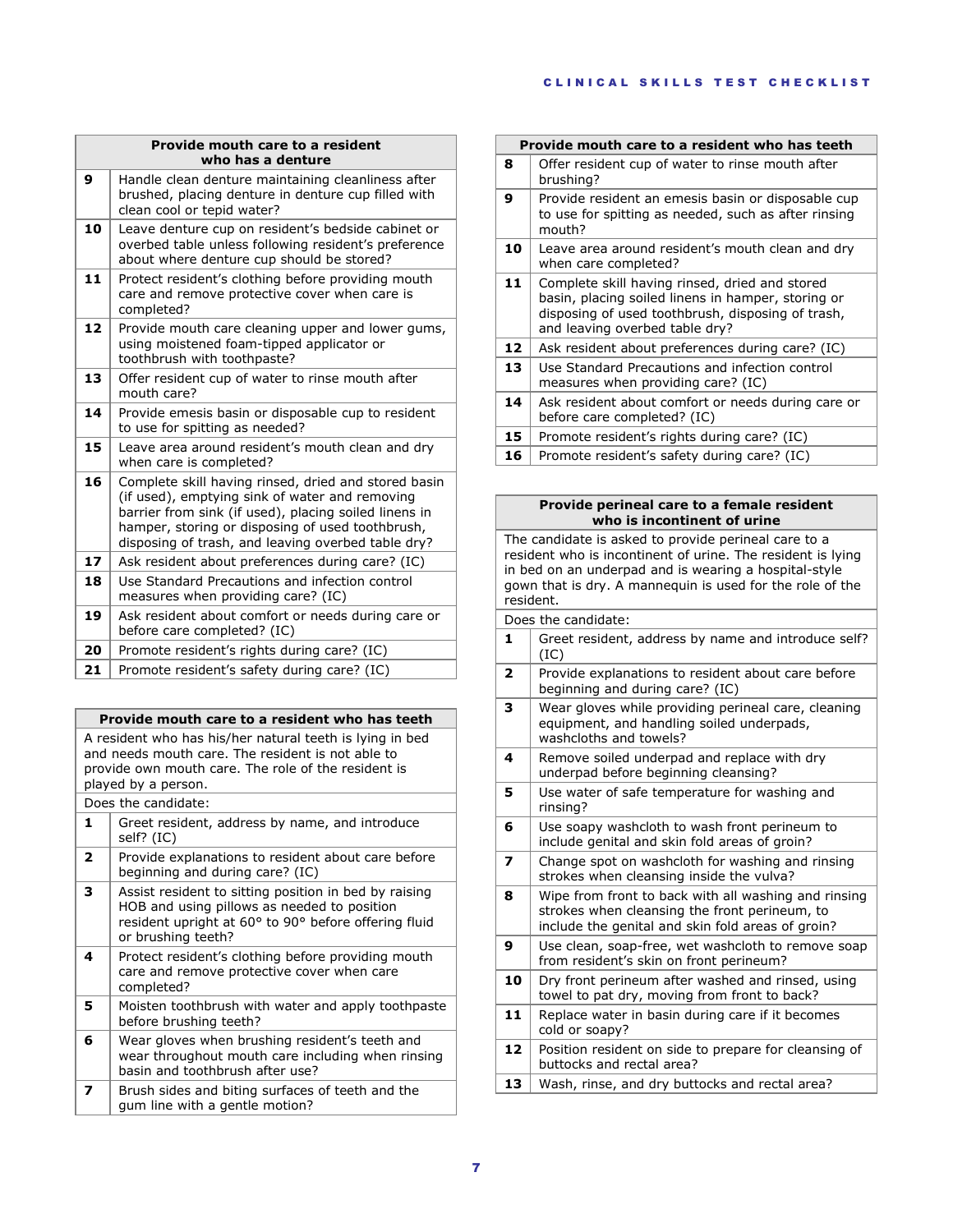|    | Provide mouth care to a resident<br>who has a denture                                                                                                                                                                                                                     |
|----|---------------------------------------------------------------------------------------------------------------------------------------------------------------------------------------------------------------------------------------------------------------------------|
| 9  | Handle clean denture maintaining cleanliness after<br>brushed, placing denture in denture cup filled with<br>clean cool or tepid water?                                                                                                                                   |
| 10 | Leave denture cup on resident's bedside cabinet or<br>overbed table unless following resident's preference<br>about where denture cup should be stored?                                                                                                                   |
| 11 | Protect resident's clothing before providing mouth<br>care and remove protective cover when care is<br>completed?                                                                                                                                                         |
| 12 | Provide mouth care cleaning upper and lower gums,<br>using moistened foam-tipped applicator or<br>toothbrush with toothpaste?                                                                                                                                             |
| 13 | Offer resident cup of water to rinse mouth after<br>mouth care?                                                                                                                                                                                                           |
| 14 | Provide emesis basin or disposable cup to resident<br>to use for spitting as needed?                                                                                                                                                                                      |
| 15 | Leave area around resident's mouth clean and dry<br>when care is completed?                                                                                                                                                                                               |
| 16 | Complete skill having rinsed, dried and stored basin<br>(if used), emptying sink of water and removing<br>barrier from sink (if used), placing soiled linens in<br>hamper, storing or disposing of used toothbrush,<br>disposing of trash, and leaving overbed table dry? |
| 17 | Ask resident about preferences during care? (IC)                                                                                                                                                                                                                          |
| 18 | Use Standard Precautions and infection control<br>measures when providing care? (IC)                                                                                                                                                                                      |
| 19 | Ask resident about comfort or needs during care or<br>before care completed? (IC)                                                                                                                                                                                         |
| 20 | Promote resident's rights during care? (IC)                                                                                                                                                                                                                               |
| 21 | Promote resident's safety during care? (IC)                                                                                                                                                                                                                               |

|                                                                                                                                                                                             | Provide mouth care to a resident who has teeth                                                                                                                                     |  |
|---------------------------------------------------------------------------------------------------------------------------------------------------------------------------------------------|------------------------------------------------------------------------------------------------------------------------------------------------------------------------------------|--|
| A resident who has his/her natural teeth is lying in bed<br>and needs mouth care. The resident is not able to<br>provide own mouth care. The role of the resident is<br>played by a person. |                                                                                                                                                                                    |  |
|                                                                                                                                                                                             | Does the candidate:                                                                                                                                                                |  |
| 1                                                                                                                                                                                           | Greet resident, address by name, and introduce<br>self? (IC)                                                                                                                       |  |
| $\mathbf{2}$                                                                                                                                                                                | Provide explanations to resident about care before<br>beginning and during care? (IC)                                                                                              |  |
| 3                                                                                                                                                                                           | Assist resident to sitting position in bed by raising<br>HOB and using pillows as needed to position<br>resident upright at 60° to 90° before offering fluid<br>or brushing teeth? |  |
| 4                                                                                                                                                                                           | Protect resident's clothing before providing mouth                                                                                                                                 |  |

care and remove protective cover when care completed? **5** Moisten toothbrush with water and apply toothpaste before brushing teeth? **6** Wear gloves when brushing resident's teeth and wear throughout mouth care including when rinsing

basin and toothbrush after use? **7** Brush sides and biting surfaces of teeth and the gum line with a gentle motion?

| Provide mouth care to a resident who has teeth |                                                                                                                                                                                             |
|------------------------------------------------|---------------------------------------------------------------------------------------------------------------------------------------------------------------------------------------------|
| 8                                              | Offer resident cup of water to rinse mouth after<br>brushing?                                                                                                                               |
| 9                                              | Provide resident an emesis basin or disposable cup<br>to use for spitting as needed, such as after rinsing<br>mouth?                                                                        |
| 10                                             | Leave area around resident's mouth clean and dry<br>when care completed?                                                                                                                    |
| 11                                             | Complete skill having rinsed, dried and stored<br>basin, placing soiled linens in hamper, storing or<br>disposing of used toothbrush, disposing of trash,<br>and leaving overbed table dry? |
| 12                                             | Ask resident about preferences during care? (IC)                                                                                                                                            |
| 13                                             | Use Standard Precautions and infection control<br>measures when providing care? (IC)                                                                                                        |
| 14                                             | Ask resident about comfort or needs during care or<br>before care completed? (IC)                                                                                                           |
| 15                                             | Promote resident's rights during care? (IC)                                                                                                                                                 |
| 16                                             | Promote resident's safety during care? (IC)                                                                                                                                                 |

## **Provide perineal care to a female resident who is incontinent of urine**

The candidate is asked to provide perineal care to a resident who is incontinent of urine. The resident is lying in bed on an underpad and is wearing a hospital-style gown that is dry. A mannequin is used for the role of the resident.

| Does the candidate:     |                                                                                                                                                            |  |
|-------------------------|------------------------------------------------------------------------------------------------------------------------------------------------------------|--|
| 1                       | Greet resident, address by name and introduce self?<br>(IC)                                                                                                |  |
| $\overline{\mathbf{z}}$ | Provide explanations to resident about care before<br>beginning and during care? (IC)                                                                      |  |
| 3                       | Wear gloves while providing perineal care, cleaning<br>equipment, and handling soiled underpads,<br>washcloths and towels?                                 |  |
| 4                       | Remove soiled underpad and replace with dry<br>underpad before beginning cleansing?                                                                        |  |
| 5                       | Use water of safe temperature for washing and<br>rinsing?                                                                                                  |  |
| 6                       | Use soapy washcloth to wash front perineum to<br>include genital and skin fold areas of groin?                                                             |  |
| 7                       | Change spot on washcloth for washing and rinsing<br>strokes when cleansing inside the vulva?                                                               |  |
| 8                       | Wipe from front to back with all washing and rinsing<br>strokes when cleansing the front perineum, to<br>include the genital and skin fold areas of groin? |  |
| 9                       | Use clean, soap-free, wet washcloth to remove soap<br>from resident's skin on front perineum?                                                              |  |
| 10                      | Dry front perineum after washed and rinsed, using<br>towel to pat dry, moving from front to back?                                                          |  |
| 11                      | Replace water in basin during care if it becomes<br>cold or soapy?                                                                                         |  |
| 12                      | Position resident on side to prepare for cleansing of<br>buttocks and rectal area?                                                                         |  |
| 13                      | Wash, rinse, and dry buttocks and rectal area?                                                                                                             |  |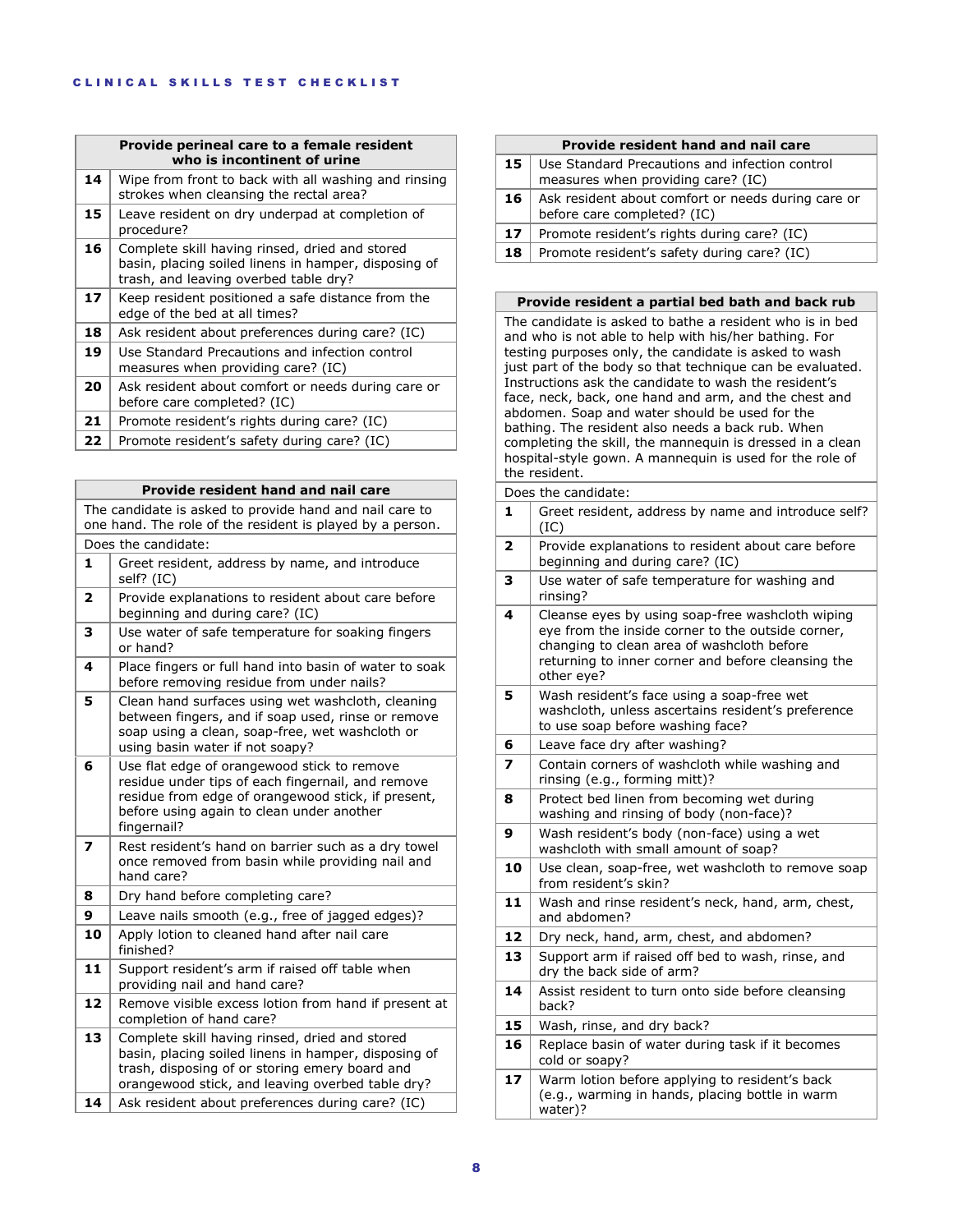| Provide perineal care to a female resident<br>who is incontinent of urine |                                                                                                                                                 |
|---------------------------------------------------------------------------|-------------------------------------------------------------------------------------------------------------------------------------------------|
| 14                                                                        | Wipe from front to back with all washing and rinsing<br>strokes when cleansing the rectal area?                                                 |
| 15                                                                        | Leave resident on dry underpad at completion of<br>procedure?                                                                                   |
| 16                                                                        | Complete skill having rinsed, dried and stored<br>basin, placing soiled linens in hamper, disposing of<br>trash, and leaving overbed table dry? |
| 17                                                                        | Keep resident positioned a safe distance from the<br>edge of the bed at all times?                                                              |
| 18                                                                        | Ask resident about preferences during care? (IC)                                                                                                |
| 19                                                                        | Use Standard Precautions and infection control<br>measures when providing care? (IC)                                                            |
| 20                                                                        | Ask resident about comfort or needs during care or<br>before care completed? (IC)                                                               |
| 21                                                                        | Promote resident's rights during care? (IC)                                                                                                     |
| 22                                                                        | Promote resident's safety during care? (IC)                                                                                                     |

| <b>Provide resident hand and nail care</b> |                                                                                                                                                                                                                    |
|--------------------------------------------|--------------------------------------------------------------------------------------------------------------------------------------------------------------------------------------------------------------------|
|                                            | The candidate is asked to provide hand and nail care to<br>one hand. The role of the resident is played by a person.                                                                                               |
|                                            | Does the candidate:                                                                                                                                                                                                |
| 1                                          | Greet resident, address by name, and introduce<br>self? (IC)                                                                                                                                                       |
| 2                                          | Provide explanations to resident about care before<br>beginning and during care? (IC)                                                                                                                              |
| 3                                          | Use water of safe temperature for soaking fingers<br>or hand?                                                                                                                                                      |
| 4                                          | Place fingers or full hand into basin of water to soak<br>before removing residue from under nails?                                                                                                                |
| 5                                          | Clean hand surfaces using wet washcloth, cleaning<br>between fingers, and if soap used, rinse or remove<br>soap using a clean, soap-free, wet washcloth or<br>using basin water if not soapy?                      |
| 6                                          | Use flat edge of orangewood stick to remove<br>residue under tips of each fingernail, and remove<br>residue from edge of orangewood stick, if present,<br>before using again to clean under another<br>fingernail? |
| $\overline{\mathbf{z}}$                    | Rest resident's hand on barrier such as a dry towel<br>once removed from basin while providing nail and<br>hand care?                                                                                              |
| 8                                          | Dry hand before completing care?                                                                                                                                                                                   |
| 9                                          | Leave nails smooth (e.g., free of jagged edges)?                                                                                                                                                                   |
| 10                                         | Apply lotion to cleaned hand after nail care<br>finished?                                                                                                                                                          |
| 11                                         | Support resident's arm if raised off table when<br>providing nail and hand care?                                                                                                                                   |
| 12                                         | Remove visible excess lotion from hand if present at<br>completion of hand care?                                                                                                                                   |
| 13                                         | Complete skill having rinsed, dried and stored<br>basin, placing soiled linens in hamper, disposing of<br>trash, disposing of or storing emery board and<br>orangewood stick, and leaving overbed table dry?       |
| 14                                         | Ask resident about preferences during care? (IC)                                                                                                                                                                   |

# **Provide resident hand and nail care**

| 15 | Use Standard Precautions and infection control<br>measures when providing care? (IC) |
|----|--------------------------------------------------------------------------------------|
| 16 | Ask resident about comfort or needs during care or<br>before care completed? (IC)    |
| 17 | Promote resident's rights during care? (IC)                                          |
| 18 | Promote resident's safety during care? (IC)                                          |

#### **Provide resident a partial bed bath and back rub**

The candidate is asked to bathe a resident who is in bed and who is not able to help with his/her bathing. For testing purposes only, the candidate is asked to wash just part of the body so that technique can be evaluated. Instructions ask the candidate to wash the resident's face, neck, back, one hand and arm, and the chest and abdomen. Soap and water should be used for the bathing. The resident also needs a back rub. When completing the skill, the mannequin is dressed in a clean hospital-style gown. A mannequin is used for the role of the resident.

## Does the candidate: **1** Greet resident, address by name and introduce self? (IC) **2** Provide explanations to resident about care before beginning and during care? (IC) **3** Use water of safe temperature for washing and rinsing? **4** Cleanse eyes by using soap-free washcloth wiping eye from the inside corner to the outside corner, changing to clean area of washcloth before returning to inner corner and before cleansing the other eye? **5** Wash resident's face using a soap-free wet washcloth, unless ascertains resident's preference to use soap before washing face? **6** | Leave face dry after washing? **7** Contain corners of washcloth while washing and rinsing (e.g., forming mitt)? **8** Protect bed linen from becoming wet during washing and rinsing of body (non-face)? **9** Wash resident's body (non-face) using a wet washcloth with small amount of soap? **10** Use clean, soap-free, wet washcloth to remove soap from resident's skin? **11** Wash and rinse resident's neck, hand, arm, chest, and abdomen? 12 Dry neck, hand, arm, chest, and abdomen? **13** Support arm if raised off bed to wash, rinse, and dry the back side of arm? **14** Assist resident to turn onto side before cleansing back? **15** Wash, rinse, and dry back? **16** Replace basin of water during task if it becomes cold or soapy? **17** Warm lotion before applying to resident's back (e.g., warming in hands, placing bottle in warm water)?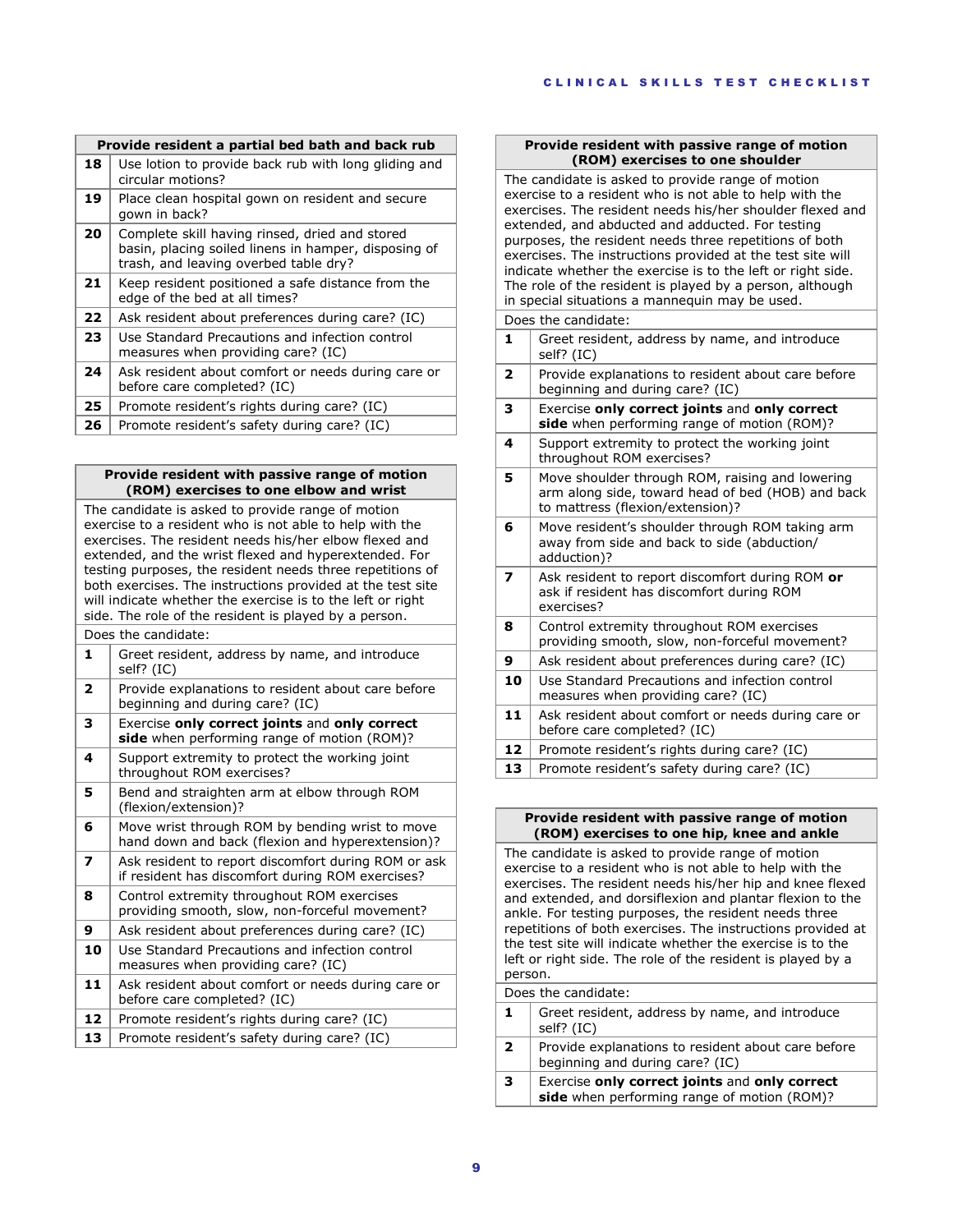|    | Provide resident a partial bed bath and back rub                                                                                                |  |
|----|-------------------------------------------------------------------------------------------------------------------------------------------------|--|
| 18 | Use lotion to provide back rub with long gliding and<br>circular motions?                                                                       |  |
| 19 | Place clean hospital gown on resident and secure<br>gown in back?                                                                               |  |
| 20 | Complete skill having rinsed, dried and stored<br>basin, placing soiled linens in hamper, disposing of<br>trash, and leaving overbed table dry? |  |
| 21 | Keep resident positioned a safe distance from the<br>edge of the bed at all times?                                                              |  |
| 22 | Ask resident about preferences during care? (IC)                                                                                                |  |
| 23 | Use Standard Precautions and infection control<br>measures when providing care? (IC)                                                            |  |
| 24 | Ask resident about comfort or needs during care or<br>before care completed? (IC)                                                               |  |
| 25 | Promote resident's rights during care? (IC)                                                                                                     |  |
| 26 | Promote resident's safety during care? (IC)                                                                                                     |  |

## **Provide resident with passive range of motion (ROM) exercises to one elbow and wrist**

The candidate is asked to provide range of motion exercise to a resident who is not able to help with the exercises. The resident needs his/her elbow flexed and extended, and the wrist flexed and hyperextended. For testing purposes, the resident needs three repetitions of both exercises. The instructions provided at the test site will indicate whether the exercise is to the left or right side. The role of the resident is played by a person. Does the candidate: **1** Greet resident, address by name, and introduce self? (IC) **2** Provide explanations to resident about care before beginning and during care? (IC) **3** Exercise **only correct joints** and **only correct side** when performing range of motion (ROM)? **4** Support extremity to protect the working joint throughout ROM exercises? **5** Bend and straighten arm at elbow through ROM (flexion/extension)? **6** Move wrist through ROM by bending wrist to move hand down and back (flexion and hyperextension)? **7** Ask resident to report discomfort during ROM or ask if resident has discomfort during ROM exercises? **8** Control extremity throughout ROM exercises providing smooth, slow, non-forceful movement? **9** Ask resident about preferences during care? (IC)

**10** Use Standard Precautions and infection control measures when providing care? (IC) **11** Ask resident about comfort or needs during care or before care completed? (IC)

**12** Promote resident's rights during care? (IC)

**13** Promote resident's safety during care? (IC)

## **Provide resident with passive range of motion (ROM) exercises to one shoulder**

| The candidate is asked to provide range of motion<br>exercise to a resident who is not able to help with the<br>exercises. The resident needs his/her shoulder flexed and<br>extended, and abducted and adducted. For testing<br>purposes, the resident needs three repetitions of both<br>exercises. The instructions provided at the test site will<br>indicate whether the exercise is to the left or right side.<br>The role of the resident is played by a person, although<br>in special situations a mannequin may be used. |                                                                                                                                          |
|------------------------------------------------------------------------------------------------------------------------------------------------------------------------------------------------------------------------------------------------------------------------------------------------------------------------------------------------------------------------------------------------------------------------------------------------------------------------------------------------------------------------------------|------------------------------------------------------------------------------------------------------------------------------------------|
| 1                                                                                                                                                                                                                                                                                                                                                                                                                                                                                                                                  | Does the candidate:<br>Greet resident, address by name, and introduce<br>self? (IC)                                                      |
| $\overline{\mathbf{z}}$                                                                                                                                                                                                                                                                                                                                                                                                                                                                                                            | Provide explanations to resident about care before<br>beginning and during care? (IC)                                                    |
| 3                                                                                                                                                                                                                                                                                                                                                                                                                                                                                                                                  | Exercise only correct joints and only correct<br>side when performing range of motion (ROM)?                                             |
| 4                                                                                                                                                                                                                                                                                                                                                                                                                                                                                                                                  | Support extremity to protect the working joint<br>throughout ROM exercises?                                                              |
| 5                                                                                                                                                                                                                                                                                                                                                                                                                                                                                                                                  | Move shoulder through ROM, raising and lowering<br>arm along side, toward head of bed (HOB) and back<br>to mattress (flexion/extension)? |
| 6                                                                                                                                                                                                                                                                                                                                                                                                                                                                                                                                  | Move resident's shoulder through ROM taking arm<br>away from side and back to side (abduction/<br>adduction)?                            |
| $\overline{\mathbf{z}}$                                                                                                                                                                                                                                                                                                                                                                                                                                                                                                            | Ask resident to report discomfort during ROM or<br>ask if resident has discomfort during ROM<br>exercises?                               |
| 8                                                                                                                                                                                                                                                                                                                                                                                                                                                                                                                                  | Control extremity throughout ROM exercises<br>providing smooth, slow, non-forceful movement?                                             |
| 9                                                                                                                                                                                                                                                                                                                                                                                                                                                                                                                                  | Ask resident about preferences during care? (IC)                                                                                         |
| 10                                                                                                                                                                                                                                                                                                                                                                                                                                                                                                                                 | Use Standard Precautions and infection control<br>measures when providing care? (IC)                                                     |
| 11                                                                                                                                                                                                                                                                                                                                                                                                                                                                                                                                 | Ask resident about comfort or needs during care or<br>before care completed? (IC)                                                        |
| 12                                                                                                                                                                                                                                                                                                                                                                                                                                                                                                                                 | Promote resident's rights during care? (IC)                                                                                              |
| 13                                                                                                                                                                                                                                                                                                                                                                                                                                                                                                                                 | Promote resident's safety during care? (IC)                                                                                              |

#### **Provide resident with passive range of motion (ROM) exercises to one hip, knee and ankle**

The candidate is asked to provide range of motion exercise to a resident who is not able to help with the exercises. The resident needs his/her hip and knee flexed and extended, and dorsiflexion and plantar flexion to the ankle. For testing purposes, the resident needs three repetitions of both exercises. The instructions provided at the test site will indicate whether the exercise is to the left or right side. The role of the resident is played by a person.

Does the candidate:

|              | Greet resident, address by name, and introduce<br>self? (IC)                                 |
|--------------|----------------------------------------------------------------------------------------------|
| $\mathbf{2}$ | Provide explanations to resident about care before<br>beginning and during care? (IC)        |
| з            | Exercise only correct joints and only correct<br>side when performing range of motion (ROM)? |